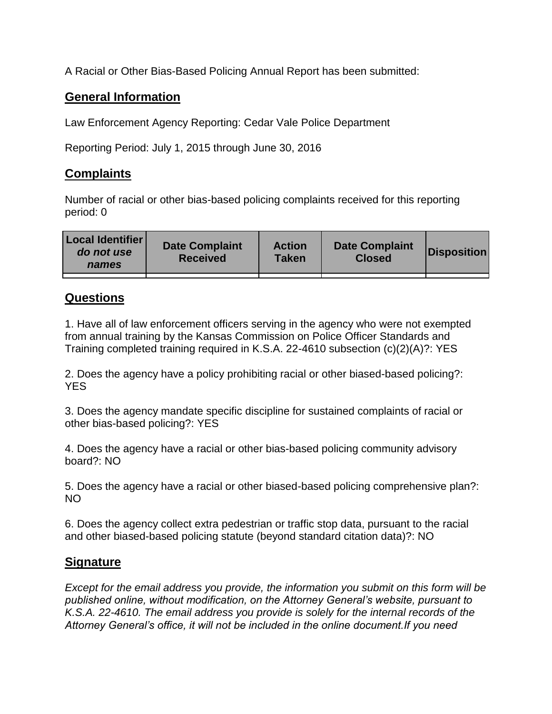A Racial or Other Bias-Based Policing Annual Report has been submitted:

## **General Information**

Law Enforcement Agency Reporting: Cedar Vale Police Department

Reporting Period: July 1, 2015 through June 30, 2016

## **Complaints**

Number of racial or other bias-based policing complaints received for this reporting period: 0

| <b>Local Identifier</b><br>do not use<br>names | <b>Date Complaint</b><br><b>Received</b> | <b>Action</b><br><b>Taken</b> | <b>Date Complaint</b><br><b>Closed</b> | Disposition |
|------------------------------------------------|------------------------------------------|-------------------------------|----------------------------------------|-------------|
|                                                |                                          |                               |                                        |             |

## **Questions**

1. Have all of law enforcement officers serving in the agency who were not exempted from annual training by the Kansas Commission on Police Officer Standards and Training completed training required in K.S.A. 22-4610 subsection (c)(2)(A)?: YES

2. Does the agency have a policy prohibiting racial or other biased-based policing?: YES

3. Does the agency mandate specific discipline for sustained complaints of racial or other bias-based policing?: YES

4. Does the agency have a racial or other bias-based policing community advisory board?: NO

5. Does the agency have a racial or other biased-based policing comprehensive plan?: NO

6. Does the agency collect extra pedestrian or traffic stop data, pursuant to the racial and other biased-based policing statute (beyond standard citation data)?: NO

## **Signature**

*Except for the email address you provide, the information you submit on this form will be published online, without modification, on the Attorney General's website, pursuant to K.S.A. 22-4610. The email address you provide is solely for the internal records of the Attorney General's office, it will not be included in the online document.If you need*